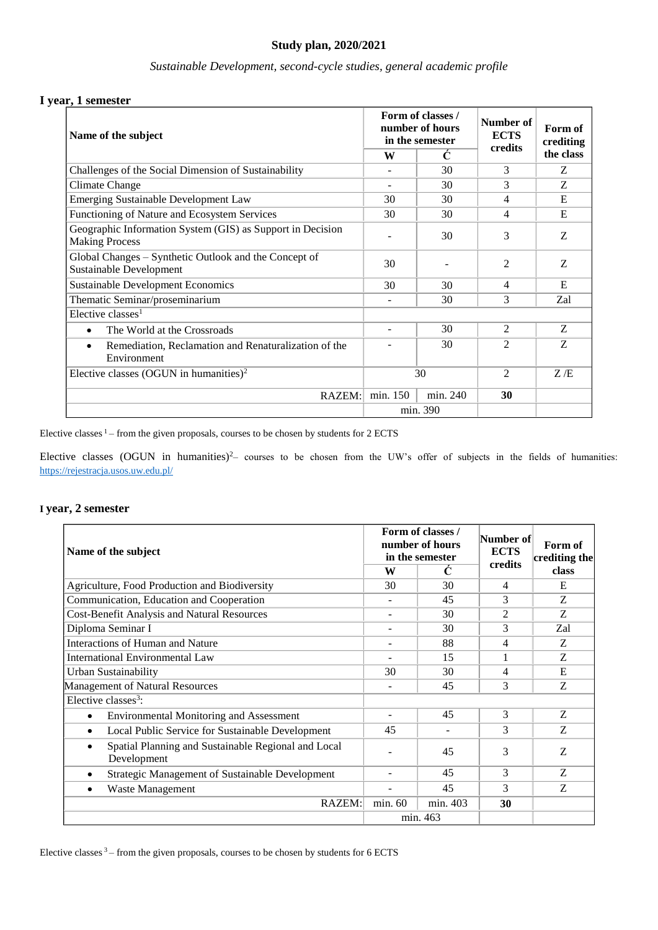# **Study plan, 2020/2021**

# *Sustainable Development, second-cycle studies, general academic profile*

## **I year, 1 semester**

| Name of the subject                                                                 | Form of classes /<br>number of hours<br>in the semester |          | Number of<br><b>ECTS</b><br>credits | Form of<br>crediting |
|-------------------------------------------------------------------------------------|---------------------------------------------------------|----------|-------------------------------------|----------------------|
|                                                                                     | W                                                       | Ċ        |                                     | the class            |
| Challenges of the Social Dimension of Sustainability                                | ۰                                                       | 30       | 3                                   | Z                    |
| Climate Change                                                                      | $\overline{\phantom{a}}$                                | 30       | 3                                   | Z                    |
| <b>Emerging Sustainable Development Law</b>                                         | 30                                                      | 30       | 4                                   | E                    |
| Functioning of Nature and Ecosystem Services                                        | 30                                                      | 30       | 4                                   | E                    |
| Geographic Information System (GIS) as Support in Decision<br><b>Making Process</b> |                                                         | 30       | 3                                   | Z                    |
| Global Changes – Synthetic Outlook and the Concept of<br>Sustainable Development    | 30                                                      |          | $\overline{2}$                      | Z                    |
| <b>Sustainable Development Economics</b>                                            | 30                                                      | 30       | $\overline{4}$                      | E                    |
| Thematic Seminar/proseminarium                                                      | -                                                       | 30       | 3                                   | Zal                  |
| Elective classes <sup>1</sup>                                                       |                                                         |          |                                     |                      |
| The World at the Crossroads<br>$\bullet$                                            |                                                         | 30       | $\mathfrak{D}$                      | Z.                   |
| Remediation, Reclamation and Renaturalization of the<br>$\bullet$<br>Environment    |                                                         | 30       | $\overline{2}$                      | Z                    |
| Elective classes (OGUN in humanities) <sup>2</sup>                                  | 30                                                      |          | $\overline{2}$                      | Z/E                  |
| RAZEM:                                                                              | min. 150                                                | min. 240 | 30                                  |                      |
|                                                                                     | min. 390                                                |          |                                     |                      |

Elective classes  $1-$  from the given proposals, courses to be chosen by students for 2 ECTS

Elective classes (OGUN in humanities)<sup>2</sup> courses to be chosen from the UW's offer of subjects in the fields of humanities: <https://rejestracja.usos.uw.edu.pl/>

### **I year, 2 semester**

| Name of the subject                                                | Form of classes /<br>number of hours<br>in the semester |          | Number of<br><b>ECTS</b><br>credits | Form of<br>crediting the |
|--------------------------------------------------------------------|---------------------------------------------------------|----------|-------------------------------------|--------------------------|
|                                                                    | W                                                       | C        |                                     | class                    |
| Agriculture, Food Production and Biodiversity                      | 30                                                      | 30       | 4                                   | E                        |
| Communication, Education and Cooperation                           | -                                                       | 45       | 3                                   | Z                        |
| <b>Cost-Benefit Analysis and Natural Resources</b>                 |                                                         | 30       | $\mathfrak{D}$                      | Z                        |
| Diploma Seminar I                                                  |                                                         | 30       | 3                                   | Zal                      |
| Interactions of Human and Nature                                   |                                                         | 88       | 4                                   | Z                        |
| International Environmental Law                                    |                                                         | 15       | 1                                   | Z                        |
| Urban Sustainability                                               | 30                                                      | 30       | 4                                   | E                        |
| Management of Natural Resources                                    | $\overline{\phantom{0}}$                                | 45       | 3                                   | Z                        |
| Elective classes <sup>3</sup> :                                    |                                                         |          |                                     |                          |
| <b>Environmental Monitoring and Assessment</b><br>$\bullet$        |                                                         | 45       | 3                                   | Z                        |
| Local Public Service for Sustainable Development<br>$\bullet$      | 45                                                      |          | 3                                   | Z                        |
| Spatial Planning and Sustainable Regional and Local<br>Development |                                                         | 45       | 3                                   | Z                        |
| Strategic Management of Sustainable Development<br>$\bullet$       | ۰                                                       | 45       | 3                                   | Z                        |
| Waste Management<br>$\bullet$                                      |                                                         | 45       | 3                                   | Z                        |
| RAZEM:                                                             | min. 60                                                 | min. 403 | 30                                  |                          |
|                                                                    | min. 463                                                |          |                                     |                          |

Elective classes  $3$  – from the given proposals, courses to be chosen by students for 6 ECTS